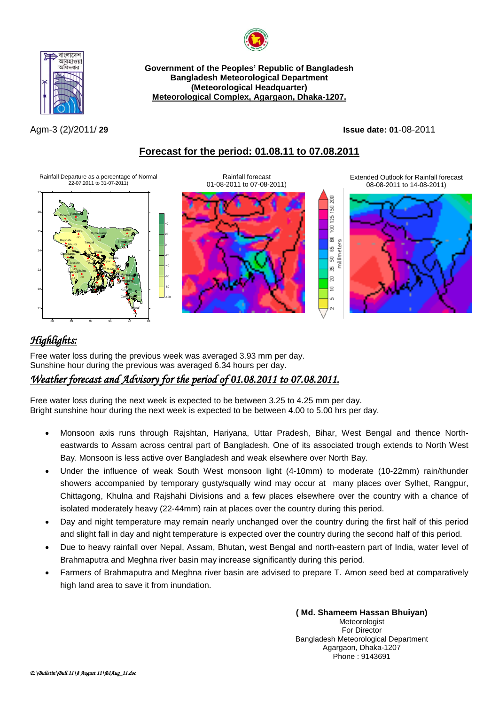



**Government of the Peoples' Republic of Bangladesh Bangladesh Meteorological Department (Meteorological Headquarter) Meteorological Complex, Agargaon, Dhaka-1207.**

Agm-3 (2)/2011/ **29 Issue date: 01**-08-2011

8 SO.  $25^{\circ}$  $\overline{8}$  $\frac{\text{C}}{\text{D} \text{D}}$ 

is.  $\overline{50}$ io.  $\sum_{i=1}^{n}$  $\equiv$ ç,

## **Forecast for the period: 01.08.11 to 07.08.2011**

Rainfall Departure as a percentage of Normal 22-07.2011 to 31-07-2011)





Extended Outlook for Rainfall forecast 08-08-2011 to 14-08-2011)



# *Highlights:*

Free water loss during the previous week was averaged 3.93 mm per day. Sunshine hour during the previous was averaged 6.34 hours per day.

### *Weather forecast and Advisory for the period of 01.08.2011 to 07.08.2011.*

Free water loss during the next week is expected to be between 3.25 to 4.25 mm per day. Bright sunshine hour during the next week is expected to be between 4.00 to 5.00 hrs per day.

- Monsoon axis runs through Rajshtan, Hariyana, Uttar Pradesh, Bihar, West Bengal and thence Northeastwards to Assam across central part of Bangladesh. One of its associated trough extends to North West Bay. Monsoon is less active over Bangladesh and weak elsewhere over North Bay.
- Under the influence of weak South West monsoon light (4-10mm) to moderate (10-22mm) rain/thunder showers accompanied by temporary gusty/squally wind may occur at many places over Sylhet, Rangpur, Chittagong, Khulna and Rajshahi Divisions and a few places elsewhere over the country with a chance of isolated moderately heavy (22-44mm) rain at places over the country during this period.
- Day and night temperature may remain nearly unchanged over the country during the first half of this period and slight fall in day and night temperature is expected over the country during the second half of this period.
- Due to heavy rainfall over Nepal, Assam, Bhutan, west Bengal and north-eastern part of India, water level of Brahmaputra and Meghna river basin may increase significantly during this period.
- Farmers of Brahmaputra and Meghna river basin are advised to prepare T. Amon seed bed at comparatively high land area to save it from inundation.

**( Md. Shameem Hassan Bhuiyan)** Meteorologist For Director Bangladesh Meteorological Department Agargaon, Dhaka-1207 Phone : 9143691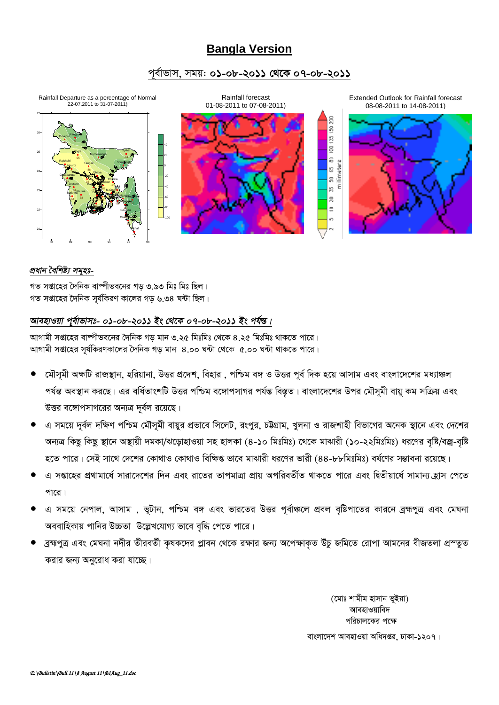# **Bangla Version**

### পূর্বাভাস, সময়: ০১-০৮-২০১১ থেকে ০৭-০৮-২০১১



### প্ৰধান বৈশিষ্ট্য সমূহঃ-

গত সপ্তাহের দৈনিক বাষ্পীভবনের গড় ৩.৯৩ মিঃ মিঃ ছিল। গত সপ্তাহের দৈনিক সর্যকিরণ কালের গড় ৬.৩৪ ঘন্টা ছিল।

### আবহাওয়া পূর্বাভাসঃ- ০১-০৮-২০১১ ইং থেকে ০৭-০৮-২০১১ ইং পর্যন্ত।

আগামী সপ্তাহের বাম্পীভবনের দৈনিক গড় মান ৩.২৫ মিঃমিঃ থেকে ৪.২৫ মিঃমিঃ থাকতে পারে। আগামী সপ্তাহের সূর্যকিরণকালের দৈনিক গড় মান ৪.০০ ঘন্টা থেকে ৫.০০ ঘন্টা থাকতে পারে।

- মৌসমী অক্ষটি রাজস্থান, হরিয়ানা, উত্তর প্রদেশ, বিহার , পশ্চিম বঙ্গ ও উত্তর পূর্ব দিক হয়ে আসাম এবং বাংলাদেশের মধ্যাঞ্চল পর্যন্ত অবস্থান করছে। এর বর্ধিতাংশটি উত্তর পশ্চিম বঙ্গোপসাগর পর্যন্ত বিস্তৃত। বাংলাদেশের উপর মৌসমী বায়ু কম সক্রিয় এবং উত্তর বঙ্গোপসাগরের অন্যত্র দূর্বল রয়েছে।
- এ সময়ে দূর্বল দক্ষিণ পশ্চিম মৌসূমী বায়ুর প্রভাবে সিলেট, রংপুর, চট্টগ্রাম, খুলনা ও রাজশাহী বিভাগের অনেক স্থানে এবং দেশের অন্যত্র কিছু কিছু স্থানে অস্থায়ী দমকা/ঝড়োহাওয়া সহ হালকা (৪-১০ মিঃমিঃ) থেকে মাঝারী (১০-২২মিঃমিঃ) ধরণের বৃষ্টি/বজ্র-বৃষ্টি হতে পারে। সেই সাথে দেশের কোথাও কোথাও বিক্ষিপ্ত ভাবে মাঝারী ধরণের ভারী (৪৪-৮৮মিঃমিঃ) বর্ষণের সম্ভাবনা রয়েছে।
- এ সপ্তাহের প্রথামার্ধে সারাদেশের দিন এবং রাতের তাপমাত্রা প্রায় অপরিবর্তীত থাকতে পারে এবং দ্বিতীয়ার্ধে সামান্য হ্রাস পেতে পারে।
- এ সময়ে নেপাল, আসাম , ভূটান, পশ্চিম বঙ্গ এবং ভারতের উত্তর পূর্বাঞ্চলে প্রবল বৃষ্টিপাতের কারনে ব্রহ্মপুত্র এবং মেঘনা অববাহিকায় পানির উচ্চতা উল্লেখযোগ্য ভাবে বৃদ্ধি পেতে পারে।
- ব্রহ্মপুত্র এবং মেঘনা নদীর তীরবর্তী কৃষকদের প্লাবন থেকে রক্ষার জন্য অপেক্ষাকৃত উঁচু জমিতে রোপা আমনের বীজতলা প্রস্তুত করার জন্য অনুরোধ করা যাচ্ছে।

(মোঃ শামীম হাসান ভূইয়া) আবহাওয়াবিদ পরিচালকের পক্ষে বাংলাদেশ আবহাওয়া অধিদপ্তর, ঢাকা-১২০৭।